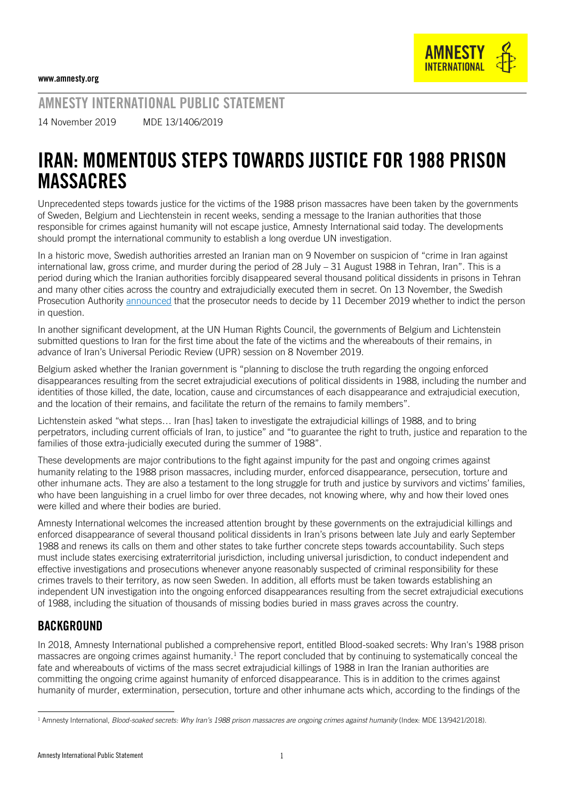AMNESTY INTERNATIONAL PUBLIC STATEMENT

14 November 2019 MDE 13/1406/2019

## IRAN: MOMENTOUS STEPS TOWARDS JUSTICE FOR 1988 PRISON MASSACRES

Unprecedented steps towards justice for the victims of the 1988 prison massacres have been taken by the governments of Sweden, Belgium and Liechtenstein in recent weeks, sending a message to the Iranian authorities that those responsible for crimes against humanity will not escape justice, Amnesty International said today. The developments should prompt the international community to establish a long overdue UN investigation.

In a historic move, Swedish authorities arrested an Iranian man on 9 November on suspicion of "crime in Iran against international law, gross crime, and murder during the period of 28 July – 31 August 1988 in Tehran, Iran". This is a period during which the Iranian authorities forcibly disappeared several thousand political dissidents in prisons in Tehran and many other cities across the country and extrajudicially executed them in secret. On 13 November, the Swedish Prosecution Authority [announced](https://www.aklagare.se/en/news-and-press/press-releases/?newsId=3265410) that the prosecutor needs to decide by 11 December 2019 whether to indict the person in question.

In another significant development, at the UN Human Rights Council, the governments of Belgium and Lichtenstein submitted questions to Iran for the first time about the fate of the victims and the whereabouts of their remains, in advance of Iran's Universal Periodic Review (UPR) session on 8 November 2019.

Belgium asked whether the Iranian government is "planning to disclose the truth regarding the ongoing enforced disappearances resulting from the secret extrajudicial executions of political dissidents in 1988, including the number and identities of those killed, the date, location, cause and circumstances of each disappearance and extrajudicial execution, and the location of their remains, and facilitate the return of the remains to family members".

Lichtenstein asked "what steps… Iran [has] taken to investigate the extrajudicial killings of 1988, and to bring perpetrators, including current officials of Iran, to justice" and "to guarantee the right to truth, justice and reparation to the families of those extra-judicially executed during the summer of 1988".

These developments are major contributions to the fight against impunity for the past and ongoing crimes against humanity relating to the 1988 prison massacres, including murder, enforced disappearance, persecution, torture and other inhumane acts. They are also a testament to the long struggle for truth and justice by survivors and victims' families, who have been languishing in a cruel limbo for over three decades, not knowing where, why and how their loved ones were killed and where their bodies are buried.

Amnesty International welcomes the increased attention brought by these governments on the extrajudicial killings and enforced disappearance of several thousand political dissidents in Iran's prisons between late July and early September 1988 and renews its calls on them and other states to take further concrete steps towards accountability. Such steps must include states exercising extraterritorial jurisdiction, including universal jurisdiction, to conduct independent and effective investigations and prosecutions whenever anyone reasonably suspected of criminal responsibility for these crimes travels to their territory, as now seen Sweden. In addition, all efforts must be taken towards establishing an independent UN investigation into the ongoing enforced disappearances resulting from the secret extrajudicial executions of 1988, including the situation of thousands of missing bodies buried in mass graves across the country.

## BACKGROUND

In 2018, Amnesty International published a comprehensive report, entitled [Blood-soaked secrets: Why Iran's 1988 prison](https://www.amnesty.org/en/documents/mde13/9421/2018/en/)  [massacres are ongoing crimes against humanity.](https://www.amnesty.org/en/documents/mde13/9421/2018/en/)<sup>1</sup> The report concluded that by continuing to systematically conceal the fate and whereabouts of victims of the mass secret extrajudicial killings of 1988 in Iran the Iranian authorities are committing the ongoing crime against humanity of enforced disappearance. This is in addition to the crimes against humanity of murder, extermination, persecution, torture and other inhumane acts which, according to the findings of the

<sup>-</sup><sup>1</sup> Amnesty International, *Blood-soaked secrets: Why Iran's 1988 prison massacres are ongoing crimes against humanity (Index[: MDE 13/9421/2018\)](https://www.amnesty.org/en/documents/mde13/9421/2018/en/).*